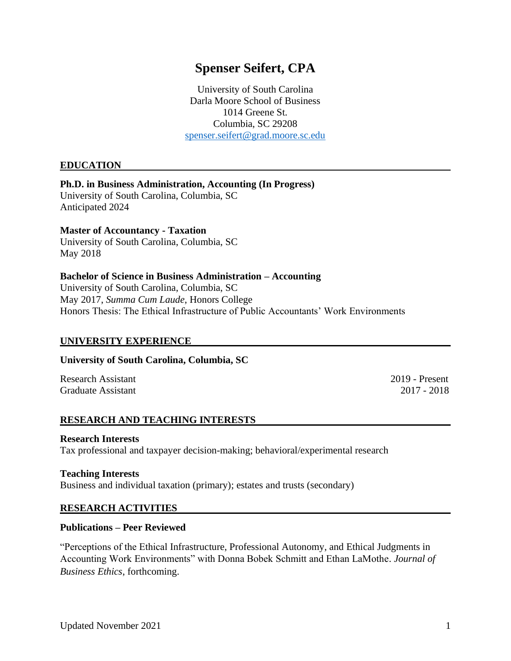# **Spenser Seifert, CPA**

University of South Carolina Darla Moore School of Business 1014 Greene St. Columbia, SC 29208 [spenser.seifert@grad.moore.sc.edu](mailto:spenser.seifert@grad.moore.sc.edu)

#### **EDUCATION**

#### **Ph.D. in Business Administration, Accounting (In Progress)**

University of South Carolina, Columbia, SC Anticipated 2024

## **Master of Accountancy - Taxation**

University of South Carolina, Columbia, SC May 2018

#### **Bachelor of Science in Business Administration – Accounting**

University of South Carolina, Columbia, SC May 2017, *Summa Cum Laude*, Honors College Honors Thesis: The Ethical Infrastructure of Public Accountants' Work Environments

#### **UNIVERSITY EXPERIENCE**

#### **University of South Carolina, Columbia, SC**

Research Assistant 2019 - Present Graduate Assistant 2017 - 2018

## **RESEARCH AND TEACHING INTERESTS**

#### **Research Interests**

Tax professional and taxpayer decision-making; behavioral/experimental research

#### **Teaching Interests**

Business and individual taxation (primary); estates and trusts (secondary)

#### **RESEARCH ACTIVITIES**

#### **Publications – Peer Reviewed**

"Perceptions of the Ethical Infrastructure, Professional Autonomy, and Ethical Judgments in Accounting Work Environments" with Donna Bobek Schmitt and Ethan LaMothe. *Journal of Business Ethics*, forthcoming.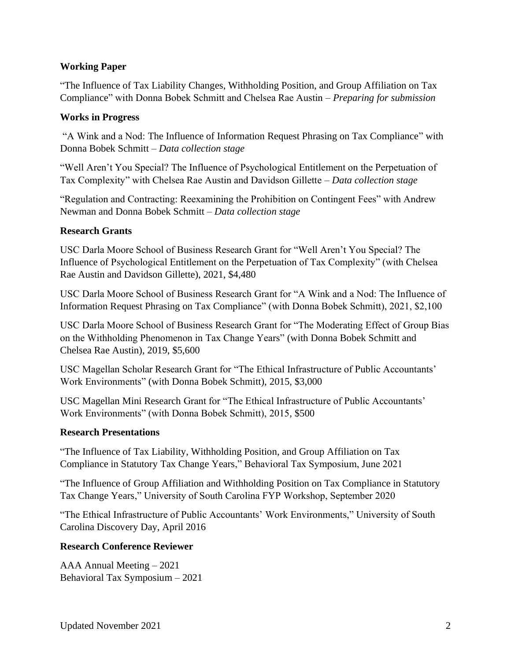## **Working Paper**

"The Influence of Tax Liability Changes, Withholding Position, and Group Affiliation on Tax Compliance" with Donna Bobek Schmitt and Chelsea Rae Austin – *Preparing for submission*

## **Works in Progress**

"A Wink and a Nod: The Influence of Information Request Phrasing on Tax Compliance" with Donna Bobek Schmitt – *Data collection stage*

"Well Aren't You Special? The Influence of Psychological Entitlement on the Perpetuation of Tax Complexity" with Chelsea Rae Austin and Davidson Gillette – *Data collection stage*

"Regulation and Contracting: Reexamining the Prohibition on Contingent Fees" with Andrew Newman and Donna Bobek Schmitt – *Data collection stage*

## **Research Grants**

USC Darla Moore School of Business Research Grant for "Well Aren't You Special? The Influence of Psychological Entitlement on the Perpetuation of Tax Complexity" (with Chelsea Rae Austin and Davidson Gillette), 2021, \$4,480

USC Darla Moore School of Business Research Grant for "A Wink and a Nod: The Influence of Information Request Phrasing on Tax Compliance" (with Donna Bobek Schmitt), 2021, \$2,100

USC Darla Moore School of Business Research Grant for "The Moderating Effect of Group Bias on the Withholding Phenomenon in Tax Change Years" (with Donna Bobek Schmitt and Chelsea Rae Austin), 2019, \$5,600

USC Magellan Scholar Research Grant for "The Ethical Infrastructure of Public Accountants' Work Environments" (with Donna Bobek Schmitt), 2015, \$3,000

USC Magellan Mini Research Grant for "The Ethical Infrastructure of Public Accountants' Work Environments" (with Donna Bobek Schmitt), 2015, \$500

## **Research Presentations**

"The Influence of Tax Liability, Withholding Position, and Group Affiliation on Tax Compliance in Statutory Tax Change Years," Behavioral Tax Symposium, June 2021

"The Influence of Group Affiliation and Withholding Position on Tax Compliance in Statutory Tax Change Years," University of South Carolina FYP Workshop, September 2020

"The Ethical Infrastructure of Public Accountants' Work Environments," University of South Carolina Discovery Day, April 2016

## **Research Conference Reviewer**

AAA Annual Meeting – 2021 Behavioral Tax Symposium – 2021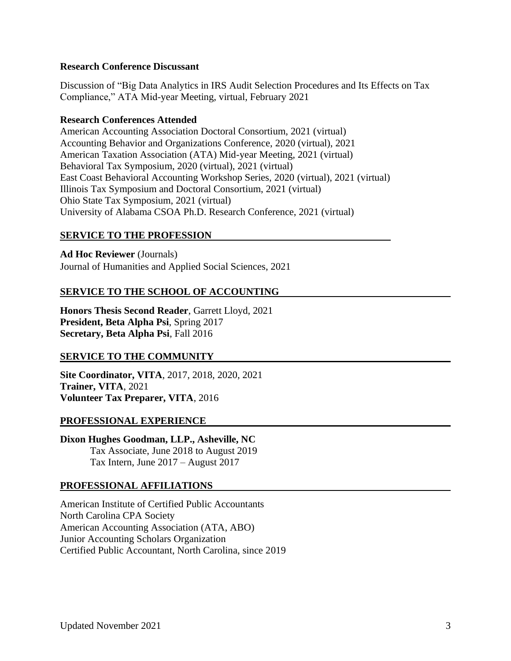#### **Research Conference Discussant**

Discussion of "Big Data Analytics in IRS Audit Selection Procedures and Its Effects on Tax Compliance," ATA Mid-year Meeting, virtual, February 2021

#### **Research Conferences Attended**

American Accounting Association Doctoral Consortium, 2021 (virtual) Accounting Behavior and Organizations Conference, 2020 (virtual), 2021 American Taxation Association (ATA) Mid-year Meeting, 2021 (virtual) Behavioral Tax Symposium, 2020 (virtual), 2021 (virtual) East Coast Behavioral Accounting Workshop Series, 2020 (virtual), 2021 (virtual) Illinois Tax Symposium and Doctoral Consortium, 2021 (virtual) Ohio State Tax Symposium, 2021 (virtual) University of Alabama CSOA Ph.D. Research Conference, 2021 (virtual)

#### **SERVICE TO THE PROFESSION**

**Ad Hoc Reviewer** (Journals) Journal of Humanities and Applied Social Sciences, 2021

# **SERVICE TO THE SCHOOL OF ACCOUNTING**

**Honors Thesis Second Reader**, Garrett Lloyd, 2021 **President, Beta Alpha Psi**, Spring 2017 **Secretary, Beta Alpha Psi**, Fall 2016

## **SERVICE TO THE COMMUNITY**

**Site Coordinator, VITA**, 2017, 2018, 2020, 2021 **Trainer, VITA**, 2021 **Volunteer Tax Preparer, VITA**, 2016

#### **PROFESSIONAL EXPERIENCE**

**Dixon Hughes Goodman, LLP., Asheville, NC** Tax Associate, June 2018 to August 2019 Tax Intern, June 2017 – August 2017

## **PROFESSIONAL AFFILIATIONS**

American Institute of Certified Public Accountants North Carolina CPA Society American Accounting Association (ATA, ABO) Junior Accounting Scholars Organization Certified Public Accountant, North Carolina, since 2019